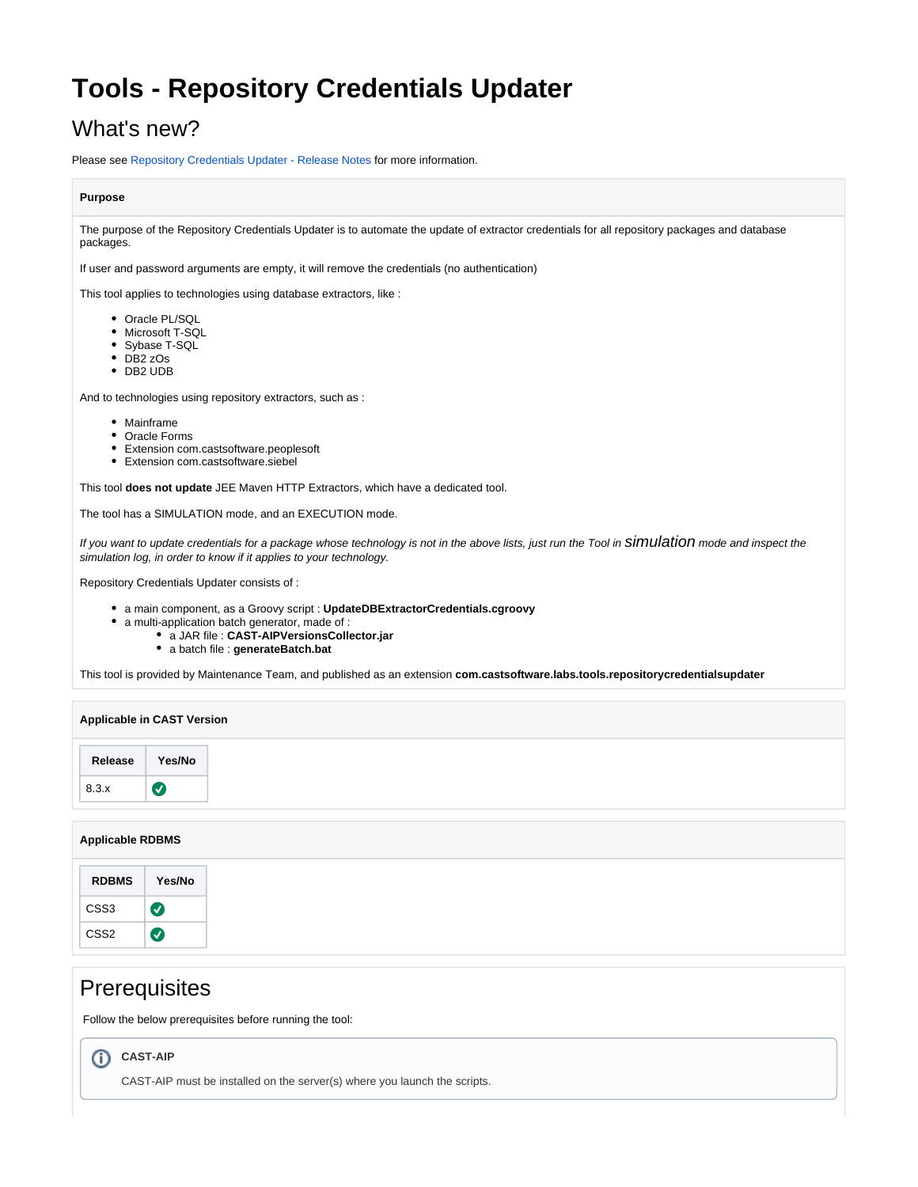# **Tools - Repository Credentials Updater**

# What's new?

Please see [Repository Credentials Updater - Release Notes](https://doc.castsoftware.com/display/TG/Tools+-+Repository+Credentials+Updater+-+Release+Notes) for more information.

### **Purpose**

The purpose of the Repository Credentials Updater is to automate the update of extractor credentials for all repository packages and database packages.

If user and password arguments are empty, it will remove the credentials (no authentication)

This tool applies to technologies using database extractors, like :

- Oracle PL/SQL
- Microsoft T-SQL
- Sybase T-SQL
- DB2 zOs
- DB2 UDB

And to technologies using repository extractors, such as :

- Mainframe
- Oracle Forms
- Extension com.castsoftware.peoplesoft
- Extension com.castsoftware.siebel

This tool **does not update** JEE Maven HTTP Extractors, which have a dedicated tool.

The tool has a SIMULATION mode, and an EXECUTION mode.

If you want to update credentials for a package whose technology is not in the above lists, just run the Tool in Simulation mode and inspect the simulation log, in order to know if it applies to your technology.

Repository Credentials Updater consists of :

- a main component, as a Groovy script : **UpdateDBExtractorCredentials.cgroovy**
- a multi-application batch generator, made of :
	- a JAR file : **CAST-AIPVersionsCollector.jar**
		- a batch file : **generateBatch.bat**

This tool is provided by Maintenance Team, and published as an extension **com.castsoftware.labs.tools.repositorycredentialsupdater**

## **Applicable RDBMS**

| <b>RDBMS</b>     | Yes/No   |
|------------------|----------|
| CSS <sub>3</sub> | $\bm{v}$ |
| CSS <sub>2</sub> | ✓        |

# **Prerequisites**

Follow the below prerequisites before running the tool:

# **CAST-AIP**

CAST-AIP must be installed on the server(s) where you launch the scripts.

⋒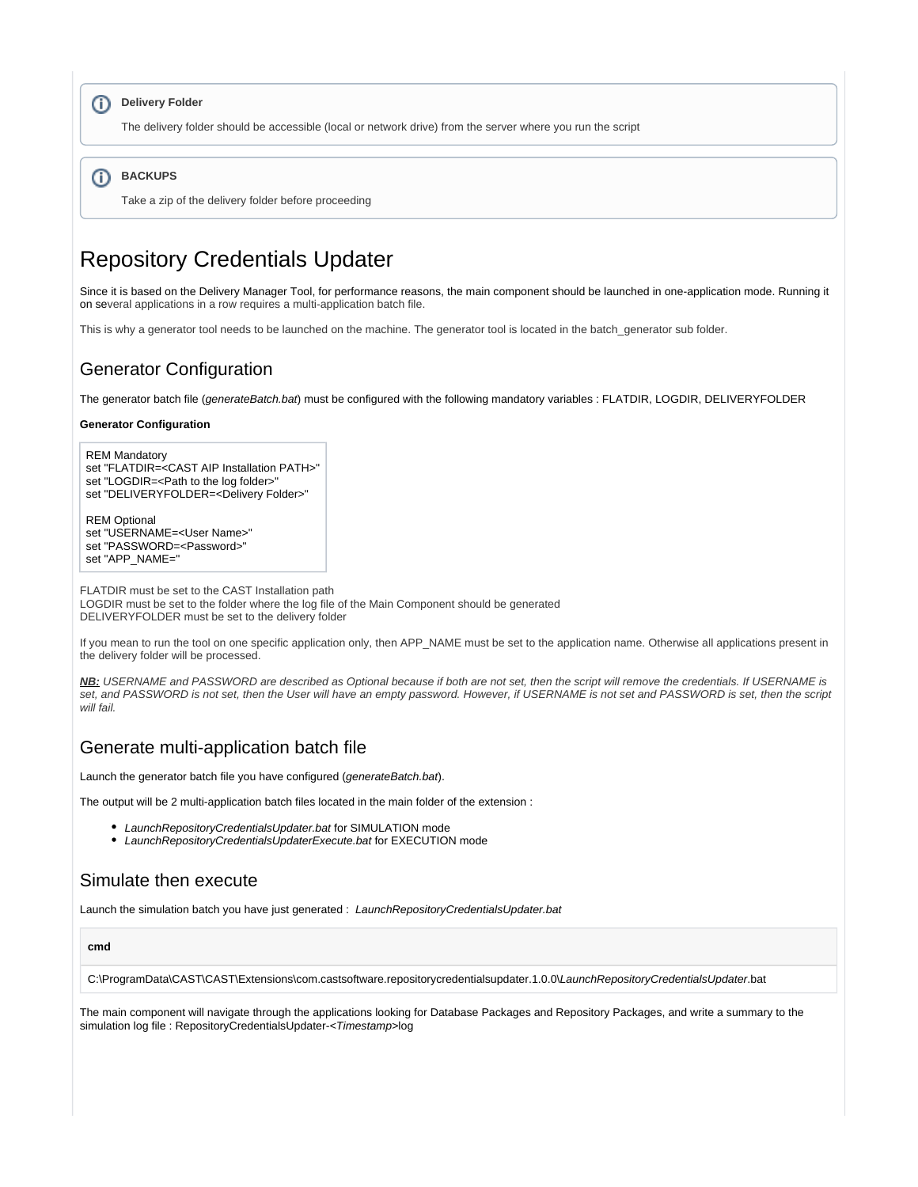## **Delivery Folder**

The delivery folder should be accessible (local or network drive) from the server where you run the script

#### **BACKUPS** G)

Take a zip of the delivery folder before proceeding

# Repository Credentials Updater

Since it is based on the Delivery Manager Tool, for performance reasons, the main component should be launched in one-application mode. Running it on several applications in a row requires a multi-application batch file.

This is why a generator tool needs to be launched on the machine. The generator tool is located in the batch\_generator sub folder.

## Generator Configuration

The generator batch file (generateBatch.bat) must be configured with the following mandatory variables : FLATDIR, LOGDIR, DELIVERYFOLDER

### **Generator Configuration**

REM Mandatory set "FLATDIR=<CAST AIP Installation PATH>" set "LOGDIR=<Path to the log folder>' set "DELIVERYFOLDER=<Delivery Folder>"

REM Optional set "USERNAME=<User Name>" set "PASSWORD=<Password>" set "APP\_NAME="

FLATDIR must be set to the CAST Installation path LOGDIR must be set to the folder where the log file of the Main Component should be generated DELIVERYFOLDER must be set to the delivery folder

If you mean to run the tool on one specific application only, then APP\_NAME must be set to the application name. Otherwise all applications present in the delivery folder will be processed.

**NB:** USERNAME and PASSWORD are described as Optional because if both are not set, then the script will remove the credentials. If USERNAME is set, and PASSWORD is not set, then the User will have an empty password. However, if USERNAME is not set and PASSWORD is set, then the script will fail.

## Generate multi-application batch file

Launch the generator batch file you have configured (generateBatch.bat).

The output will be 2 multi-application batch files located in the main folder of the extension :

- LaunchRepositoryCredentialsUpdater.bat for SIMULATION mode
- LaunchRepositoryCredentialsUpdaterExecute.bat for EXECUTION mode

### Simulate then execute

Launch the simulation batch you have just generated : LaunchRepositoryCredentialsUpdater.bat

### **cmd**

C:\ProgramData\CAST\CAST\Extensions\com.castsoftware.repositorycredentialsupdater.1.0.0\LaunchRepositoryCredentialsUpdater.bat

The main component will navigate through the applications looking for Database Packages and Repository Packages, and write a summary to the simulation log file : RepositoryCredentialsUpdater-<Timestamp>log

⊕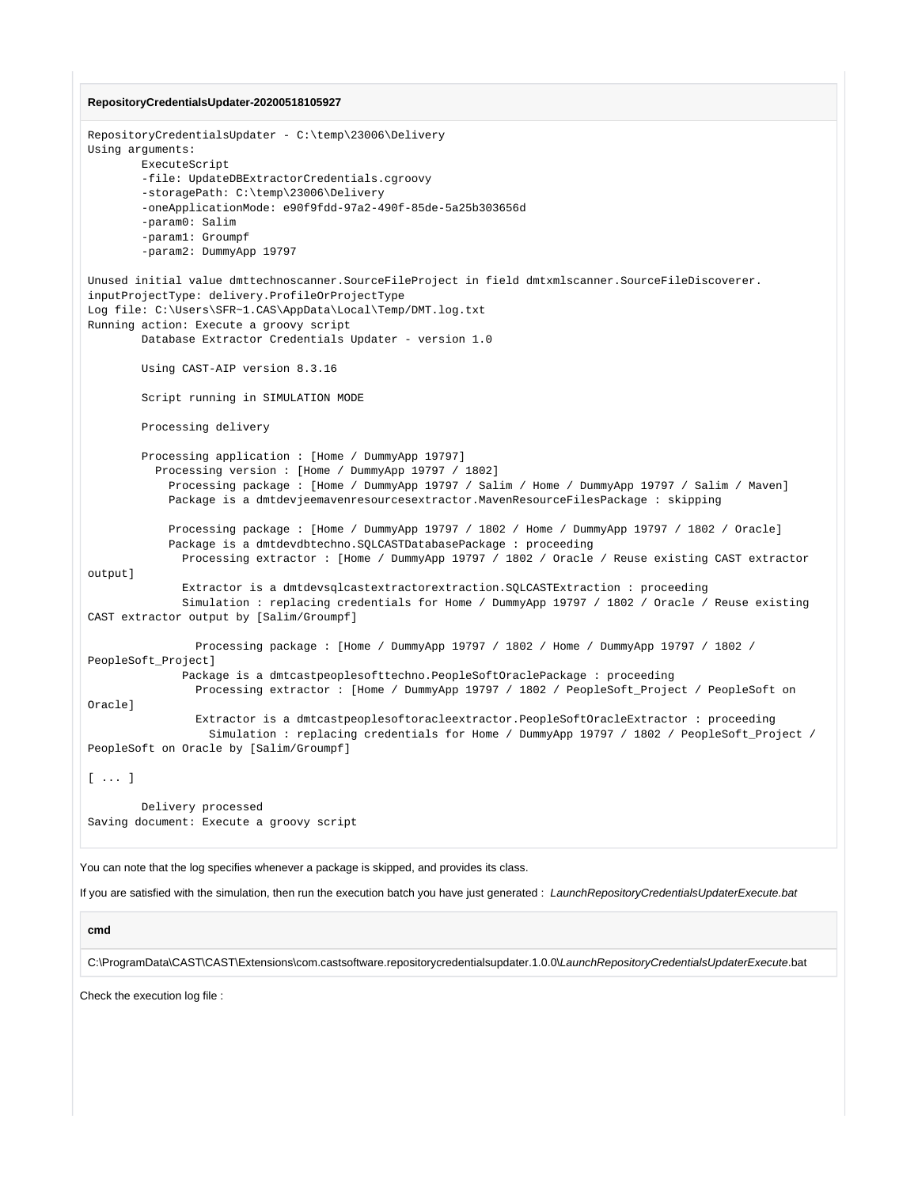#### **RepositoryCredentialsUpdater-20200518105927**

```
RepositoryCredentialsUpdater - C:\temp\23006\Delivery 
Using arguments:
         ExecuteScript
         -file: UpdateDBExtractorCredentials.cgroovy
         -storagePath: C:\temp\23006\Delivery
         -oneApplicationMode: e90f9fdd-97a2-490f-85de-5a25b303656d
         -param0: Salim
         -param1: Groumpf
         -param2: DummyApp 19797
Unused initial value dmttechnoscanner.SourceFileProject in field dmtxmlscanner.SourceFileDiscoverer.
inputProjectType: delivery.ProfileOrProjectType
Log file: C:\Users\SFR~1.CAS\AppData\Local\Temp/DMT.log.txt
Running action: Execute a groovy script
         Database Extractor Credentials Updater - version 1.0
         Using CAST-AIP version 8.3.16
         Script running in SIMULATION MODE
         Processing delivery
         Processing application : [Home / DummyApp 19797]
           Processing version : [Home / DummyApp 19797 / 1802]
             Processing package : [Home / DummyApp 19797 / Salim / Home / DummyApp 19797 / Salim / Maven]
             Package is a dmtdevjeemavenresourcesextractor.MavenResourceFilesPackage : skipping
             Processing package : [Home / DummyApp 19797 / 1802 / Home / DummyApp 19797 / 1802 / Oracle]
             Package is a dmtdevdbtechno.SQLCASTDatabasePackage : proceeding
               Processing extractor : [Home / DummyApp 19797 / 1802 / Oracle / Reuse existing CAST extractor 
output]
               Extractor is a dmtdevsqlcastextractorextraction.SQLCASTExtraction : proceeding
               Simulation : replacing credentials for Home / DummyApp 19797 / 1802 / Oracle / Reuse existing 
CAST extractor output by [Salim/Groumpf]
                 Processing package : [Home / DummyApp 19797 / 1802 / Home / DummyApp 19797 / 1802 / 
PeopleSoft_Project]
               Package is a dmtcastpeoplesofttechno.PeopleSoftOraclePackage : proceeding
                 Processing extractor : [Home / DummyApp 19797 / 1802 / PeopleSoft_Project / PeopleSoft on 
Oracle]
                 Extractor is a dmtcastpeoplesoftoracleextractor.PeopleSoftOracleExtractor : proceeding
                   Simulation : replacing credentials for Home / DummyApp 19797 / 1802 / PeopleSoft_Project / 
PeopleSoft on Oracle by [Salim/Groumpf]
[ ... ]
         Delivery processed
```
Saving document: Execute a groovy script

You can note that the log specifies whenever a package is skipped, and provides its class.

If you are satisfied with the simulation, then run the execution batch you have just generated : LaunchRepositoryCredentialsUpdaterExecute.bat

### **cmd**

C:\ProgramData\CAST\CAST\Extensions\com.castsoftware.repositorycredentialsupdater.1.0.0\LaunchRepositoryCredentialsUpdaterExecute.bat

Check the execution log file :